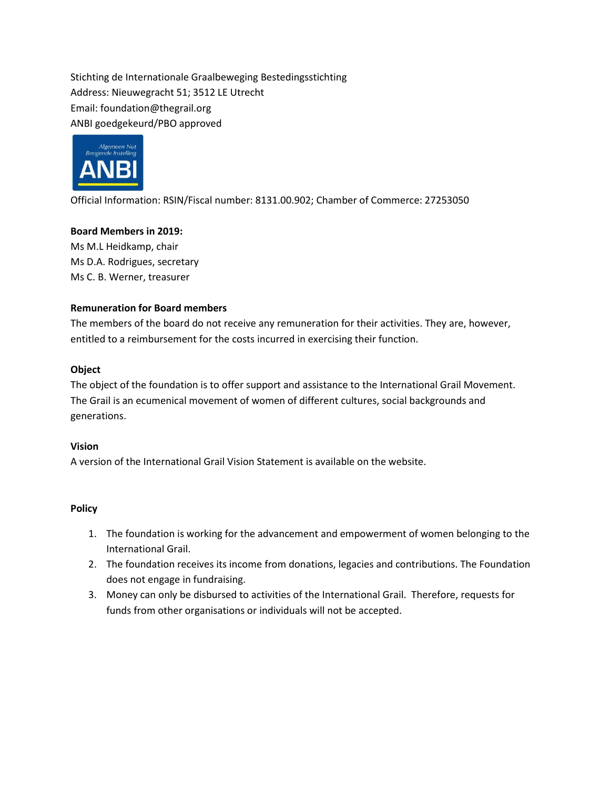Stichting de Internationale Graalbeweging Bestedingsstichting Address: Nieuwegracht 51; 3512 LE Utrecht Email: foundation@thegrail.org ANBI goedgekeurd/PBO approved



Official Information: RSIN/Fiscal number: 8131.00.902; Chamber of Commerce: 27253050

# **Board Members in 2019:**

Ms M.L Heidkamp, chair Ms D.A. Rodrigues, secretary Ms C. B. Werner, treasurer

# **Remuneration for Board members**

The members of the board do not receive any remuneration for their activities. They are, however, entitled to a reimbursement for the costs incurred in exercising their function.

# **Object**

The object of the foundation is to offer support and assistance to the International Grail Movement. The Grail is an ecumenical movement of women of different cultures, social backgrounds and generations.

## **Vision**

A version of the International Grail Vision Statement is available on the website.

## **Policy**

- 1. The foundation is working for the advancement and empowerment of women belonging to the International Grail.
- 2. The foundation receives its income from donations, legacies and contributions. The Foundation does not engage in fundraising.
- 3. Money can only be disbursed to activities of the International Grail. Therefore, requests for funds from other organisations or individuals will not be accepted.